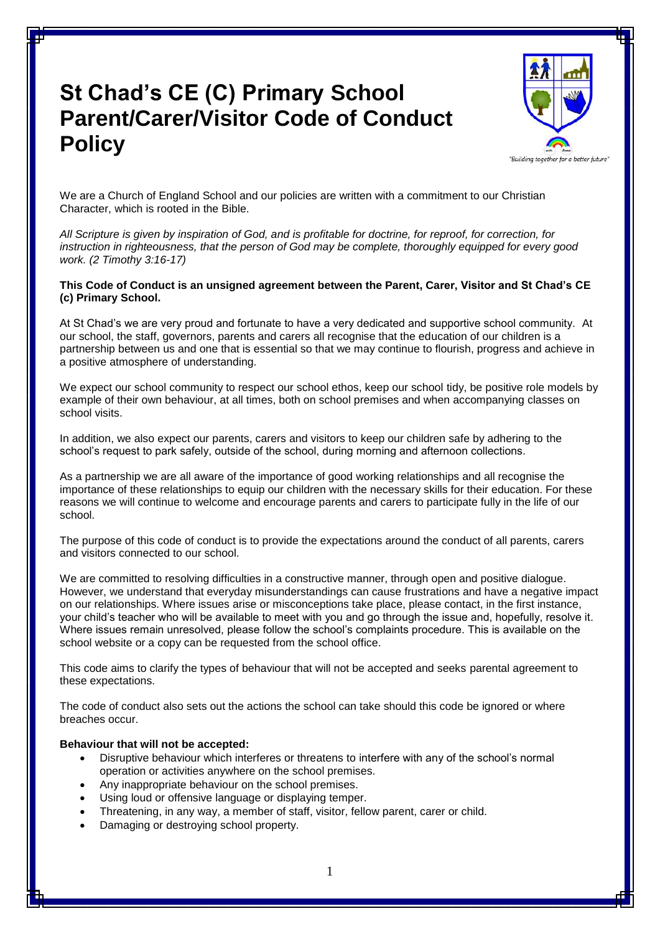# **St Chad's CE (C) Primary School Parent/Carer/Visitor Code of Conduct Policy**



We are a Church of England School and our policies are written with a commitment to our Christian Character, which is rooted in the Bible.

*All Scripture is given by inspiration of God, and is profitable for doctrine, for reproof, for correction, for instruction in righteousness, that the person of God may be complete, thoroughly equipped for every good work. (2 Timothy 3:16-17)*

### **This Code of Conduct is an unsigned agreement between the Parent, Carer, Visitor and St Chad's CE (c) Primary School.**

At St Chad's we are very proud and fortunate to have a very dedicated and supportive school community. At our school, the staff, governors, parents and carers all recognise that the education of our children is a partnership between us and one that is essential so that we may continue to flourish, progress and achieve in a positive atmosphere of understanding.

We expect our school community to respect our school ethos, keep our school tidy, be positive role models by example of their own behaviour, at all times, both on school premises and when accompanying classes on school visits.

In addition, we also expect our parents, carers and visitors to keep our children safe by adhering to the school's request to park safely, outside of the school, during morning and afternoon collections.

As a partnership we are all aware of the importance of good working relationships and all recognise the importance of these relationships to equip our children with the necessary skills for their education. For these reasons we will continue to welcome and encourage parents and carers to participate fully in the life of our school.

The purpose of this code of conduct is to provide the expectations around the conduct of all parents, carers and visitors connected to our school.

We are committed to resolving difficulties in a constructive manner, through open and positive dialogue. However, we understand that everyday misunderstandings can cause frustrations and have a negative impact on our relationships. Where issues arise or misconceptions take place, please contact, in the first instance, your child's teacher who will be available to meet with you and go through the issue and, hopefully, resolve it. Where issues remain unresolved, please follow the school's complaints procedure. This is available on the school website or a copy can be requested from the school office.

This code aims to clarify the types of behaviour that will not be accepted and seeks parental agreement to these expectations.

The code of conduct also sets out the actions the school can take should this code be ignored or where breaches occur.

#### **Behaviour that will not be accepted:**

- Disruptive behaviour which interferes or threatens to interfere with any of the school's normal operation or activities anywhere on the school premises.
- Any inappropriate behaviour on the school premises.
- Using loud or offensive language or displaying temper.
- Threatening, in any way, a member of staff, visitor, fellow parent, carer or child.
- Damaging or destroying school property.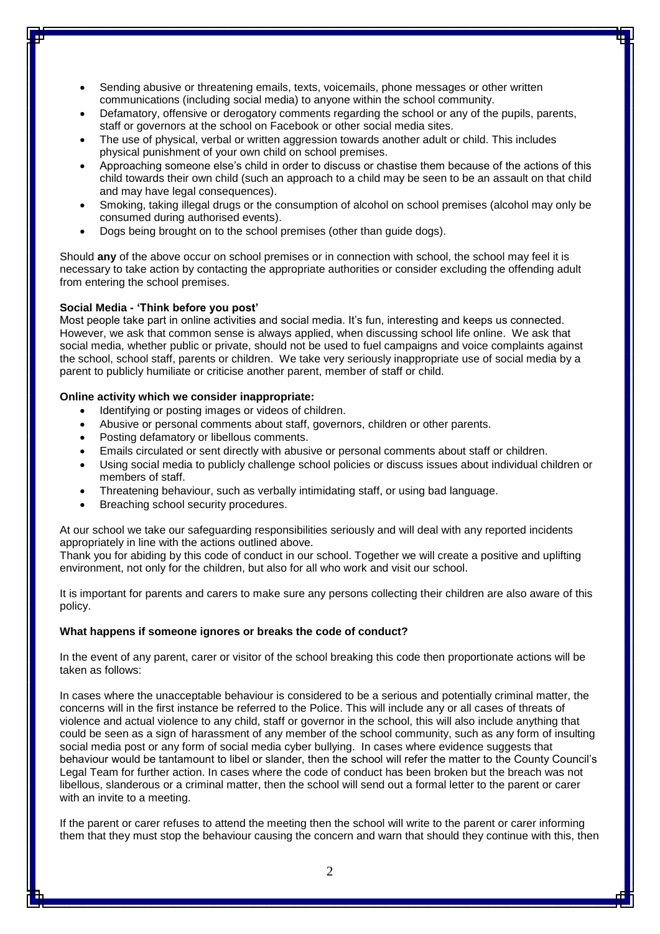- Sending abusive or threatening emails, texts, voicemails, phone messages or other written communications (including social media) to anyone within the school community.
- Defamatory, offensive or derogatory comments regarding the school or any of the pupils, parents, staff or governors at the school on Facebook or other social media sites.
- The use of physical, verbal or written aggression towards another adult or child. This includes physical punishment of your own child on school premises.
- Approaching someone else's child in order to discuss or chastise them because of the actions of this child towards their own child (such an approach to a child may be seen to be an assault on that child and may have legal consequences).
- Smoking, taking illegal drugs or the consumption of alcohol on school premises (alcohol may only be consumed during authorised events).
- Dogs being brought on to the school premises (other than guide dogs).

Should **any** of the above occur on school premises or in connection with school, the school may feel it is necessary to take action by contacting the appropriate authorities or consider excluding the offending adult from entering the school premises.

#### **Social Media - 'Think before you post'**

Most people take part in online activities and social media. It's fun, interesting and keeps us connected. However, we ask that common sense is always applied, when discussing school life online. We ask that social media, whether public or private, should not be used to fuel campaigns and voice complaints against the school, school staff, parents or children. We take very seriously inappropriate use of social media by a parent to publicly humiliate or criticise another parent, member of staff or child.

#### **Online activity which we consider inappropriate:**

- Identifying or posting images or videos of children.
- Abusive or personal comments about staff, governors, children or other parents.
- Posting defamatory or libellous comments.
- Emails circulated or sent directly with abusive or personal comments about staff or children.
- Using social media to publicly challenge school policies or discuss issues about individual children or members of staff.
- Threatening behaviour, such as verbally intimidating staff, or using bad language.
- Breaching school security procedures.

At our school we take our safeguarding responsibilities seriously and will deal with any reported incidents appropriately in line with the actions outlined above.

Thank you for abiding by this code of conduct in our school. Together we will create a positive and uplifting environment, not only for the children, but also for all who work and visit our school.

It is important for parents and carers to make sure any persons collecting their children are also aware of this policy.

## **What happens if someone ignores or breaks the code of conduct?**

In the event of any parent, carer or visitor of the school breaking this code then proportionate actions will be taken as follows:

In cases where the unacceptable behaviour is considered to be a serious and potentially criminal matter, the concerns will in the first instance be referred to the Police. This will include any or all cases of threats of violence and actual violence to any child, staff or governor in the school, this will also include anything that could be seen as a sign of harassment of any member of the school community, such as any form of insulting social media post or any form of social media cyber bullying. In cases where evidence suggests that behaviour would be tantamount to libel or slander, then the school will refer the matter to the County Council's Legal Team for further action. In cases where the code of conduct has been broken but the breach was not libellous, slanderous or a criminal matter, then the school will send out a formal letter to the parent or carer with an invite to a meeting.

If the parent or carer refuses to attend the meeting then the school will write to the parent or carer informing them that they must stop the behaviour causing the concern and warn that should they continue with this, then